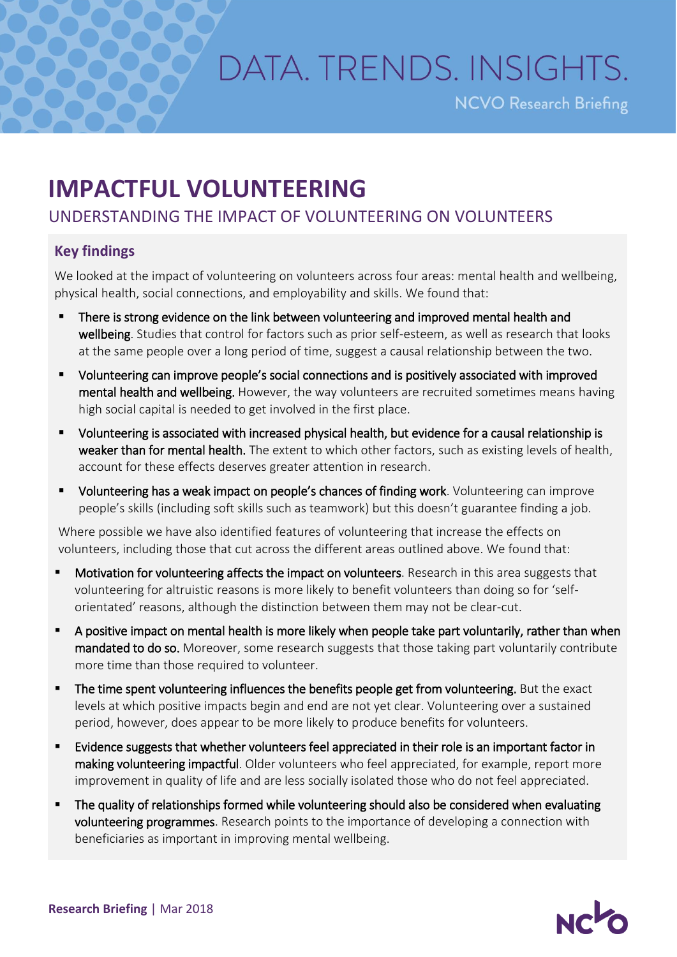## DATA, TRENDS, INSIGHTS.

**NCVO Research Briefing** 

## **IMPACTFUL VOLUNTEERING**

## UNDERSTANDING THE IMPACT OF VOLUNTEERING ON VOLUNTEERS

## **Key findings**

We looked at the impact of volunteering on volunteers across four areas: mental health and wellbeing, physical health, social connections, and employability and skills. We found that:

- There is strong evidence on the link between volunteering and improved mental health and wellbeing. Studies that control for factors such as prior self-esteem, as well as research that looks at the same people over a long period of time, suggest a causal relationship between the two.
- Volunteering can improve people's social connections and is positively associated with improved mental health and wellbeing. However, the way volunteers are recruited sometimes means having high social capital is needed to get involved in the first place.
- Volunteering is associated with increased physical health, but evidence for a causal relationship is weaker than for mental health. The extent to which other factors, such as existing levels of health, account for these effects deserves greater attention in research.
- Volunteering has a weak impact on people's chances of finding work. Volunteering can improve people's skills (including soft skills such as teamwork) but this doesn't guarantee finding a job.

Where possible we have also identified features of volunteering that increase the effects on volunteers, including those that cut across the different areas outlined above. We found that:

- Motivation for volunteering affects the impact on volunteers. Research in this area suggests that volunteering for altruistic reasons is more likely to benefit volunteers than doing so for 'selforientated' reasons, although the distinction between them may not be clear-cut.
- A positive impact on mental health is more likely when people take part voluntarily, rather than when mandated to do so. Moreover, some research suggests that those taking part voluntarily contribute more time than those required to volunteer.
- The time spent volunteering influences the benefits people get from volunteering. But the exact levels at which positive impacts begin and end are not yet clear. Volunteering over a sustained period, however, does appear to be more likely to produce benefits for volunteers.
- Evidence suggests that whether volunteers feel appreciated in their role is an important factor in making volunteering impactful. Older volunteers who feel appreciated, for example, report more improvement in quality of life and are less socially isolated those who do not feel appreciated.
- The quality of relationships formed while volunteering should also be considered when evaluating volunteering programmes. Research points to the importance of developing a connection with beneficiaries as important in improving mental wellbeing.

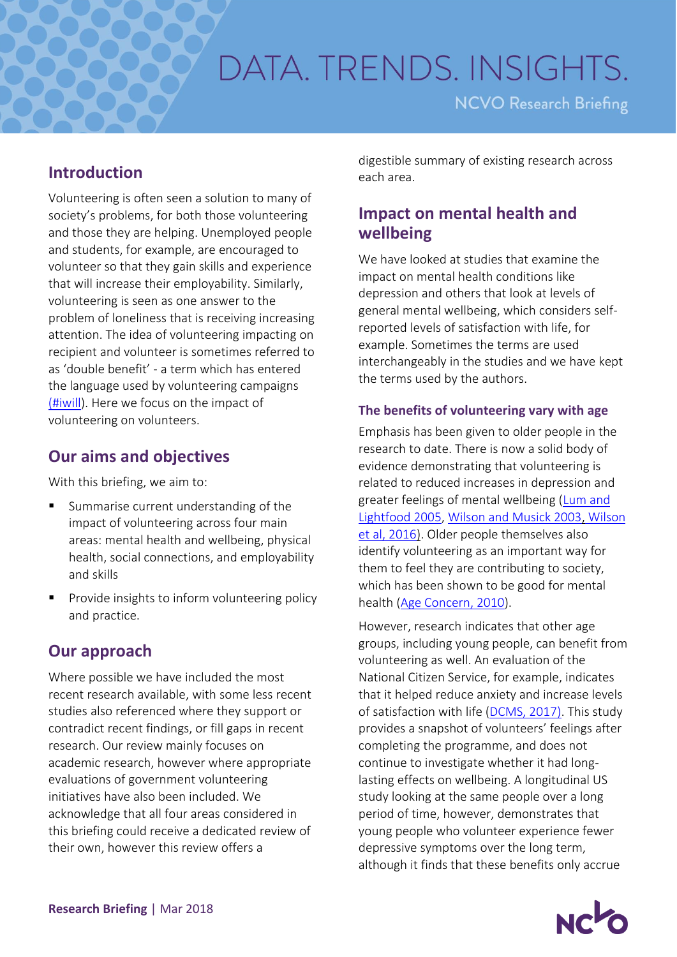# DATA, TRENDS, INSIGHTS.

**NCVO Research Briefing** 

## **Introduction**

Volunteering is often seen a solution to many of society's problems, for both those volunteering and those they are helping. Unemployed people and students, for example, are encouraged to volunteer so that they gain skills and experience that will increase their employability. Similarly, volunteering is seen as one answer to the problem of loneliness that is receiving increasing attention. The idea of volunteering impacting on recipient and volunteer is sometimes referred to as 'double benefit' - a term which has entered the language used by volunteering campaigns [\(#iwill\)](http://www.iwill.org.uk/about-us/making-the-case/). Here we focus on the impact of volunteering on volunteers.

## **Our aims and objectives**

With this briefing, we aim to:

- Summarise current understanding of the impact of volunteering across four main areas: mental health and wellbeing, physical health, social connections, and employability and skills
- Provide insights to inform volunteering policy and practice.

## **Our approach**

Where possible we have included the most recent research available, with some less recent studies also referenced where they support or contradict recent findings, or fill gaps in recent research. Our review mainly focuses on academic research, however where appropriate evaluations of government volunteering initiatives have also been included. We acknowledge that all four areas considered in this briefing could receive a dedicated review of their own, however this review offers a

digestible summary of existing research across each area.

## **Impact on mental health and wellbeing**

We have looked at studies that examine the impact on mental health conditions like depression and others that look at levels of general mental wellbeing, which considers selfreported levels of satisfaction with life, for example. Sometimes the terms are used interchangeably in the studies and we have kept the terms used by the authors.

## **The benefits of volunteering vary with age**

Emphasis has been given to older people in the research to date. There is now a solid body of evidence demonstrating that volunteering is related to reduced increases in depression and greater feelings of mental wellbeing [\(Lum and](http://journals.sagepub.com/doi/pdf/10.1177/0164027504271349)  [Lightfood 2005,](http://journals.sagepub.com/doi/pdf/10.1177/0164027504271349) [Wilson and Musick 2003,](https://www.sciencedirect.com/science/article/pii/S0277953602000254) [Wilson](https://www.springer.com/gb/book/9781137263162?gclid=CjwKCAiA8bnUBRA-EiwAc0hZkw2njPEB9owhjgKkaz16cdV5QRxhWvG_8GX0h09P_vZlyXG_AyWNKxoC66YQAvD_BwE)  [et al, 2016\)](https://www.springer.com/gb/book/9781137263162?gclid=CjwKCAiA8bnUBRA-EiwAc0hZkw2njPEB9owhjgKkaz16cdV5QRxhWvG_8GX0h09P_vZlyXG_AyWNKxoC66YQAvD_BwE). Older people themselves also identify volunteering as an important way for them to feel they are contributing to society, which has been shown to be good for mental health [\(Age Concern, 2010\)](https://www.ageuk.org.uk/brandpartnerglobal/londonvpp/documents/activate%20healthy%20ageing%20report.pdf).

However, research indicates that other age groups, including young people, can benefit from volunteering as well. An evaluation of the National Citizen Service, for example, indicates that it helped reduce anxiety and increase levels of satisfaction with life [\(DCMS, 2017\).](https://www.gov.uk/government/uploads/system/uploads/attachment_data/file/678057/NCS_2016_EvaluationReport_FINAL.pdf) This study provides a snapshot of volunteers' feelings after completing the programme, and does not continue to investigate whether it had longlasting effects on wellbeing. A longitudinal US study looking at the same people over a long period of time, however, demonstrates that young people who volunteer experience fewer depressive symptoms over the long term, although it finds that these benefits only accrue

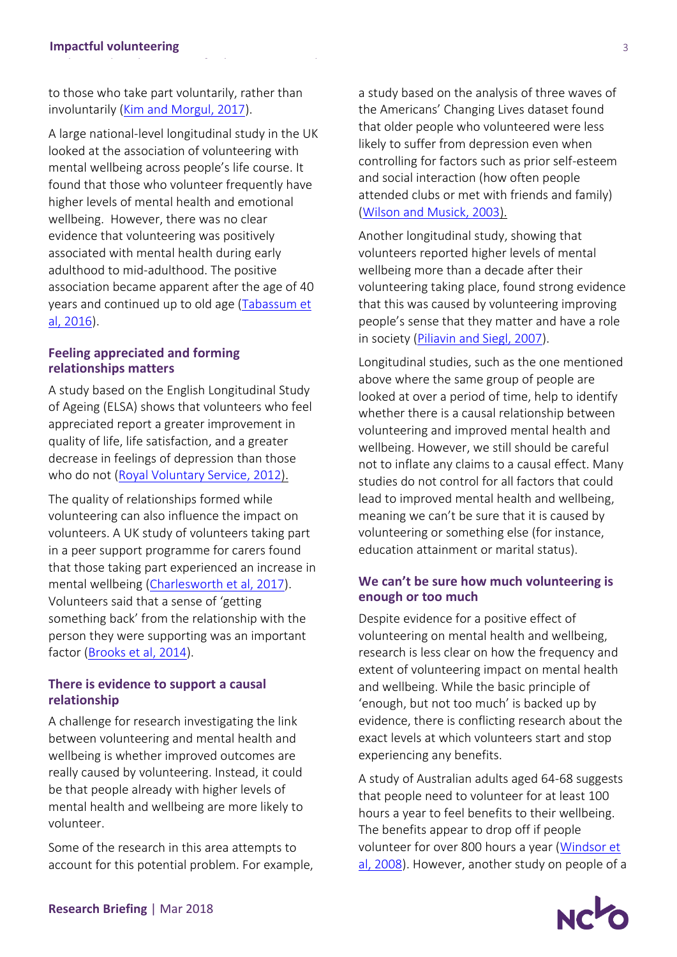to those who take part voluntarily, rather than involuntarily [\(Kim and Morgul, 2017\)](http://www.sciencedirect.com/science/article/pii/S0049089X16304653).

A large national-level longitudinal study in the UK looked at the association of volunteering with mental wellbeing across people's life course. It found that those who volunteer frequently have higher levels of mental health and emotional wellbeing. However, there was no clear evidence that volunteering was positively associated with mental health during early adulthood to mid-adulthood. The positive association became apparent after the age of 40 years and continued up to old age [\(Tabassum et](http://bmjopen.bmj.com/content/bmjopen/6/8/e011327.full.pdf)  al, [2016\)](http://bmjopen.bmj.com/content/bmjopen/6/8/e011327.full.pdf).

#### **Feeling appreciated and forming relationships matters**

A study based on the English Longitudinal Study of Ageing (ELSA) shows that volunteers who feel appreciated report a greater improvement in quality of life, life satisfaction, and a greater decrease in feelings of depression than those who do not [\(Royal Voluntary Service,](https://www.royalvoluntaryservice.org.uk/Uploads/Documents/Reports%20and%20Reviews/the_impact_of_volunteering_on_wellbeing_in_later_life.pdf) 2012).

The quality of relationships formed while volunteering can also influence the impact on volunteers. A UK study of volunteers taking part in a peer support programme for carers found that those taking part experienced an increase in mental wellbeing [\(Charlesworth et al, 2017\)](http://discovery.ucl.ac.uk/1474630/3/Charlesworth_1474630_Impact%20of%20Volunteering%20on%20the%20Volunteer-HCCAccepted%20version.pdf). Volunteers said that a sense of 'getting something back' from the relationship with the person they were supporting was an important factor [\(Brooks et al, 2014\)](http://onlinelibrary.wiley.com/doi/10.1002/casp.2188/abstract).

## **There is evidence to support a causal relationship**

A challenge for research investigating the link between volunteering and mental health and wellbeing is whether improved outcomes are really caused by volunteering. Instead, it could be that people already with higher levels of mental health and wellbeing are more likely to volunteer.

Some of the research in this area attempts to account for this potential problem. For example, a study based on the analysis of three waves of the Americans' Changing Lives dataset found that older people who volunteered were less likely to suffer from depression even when controlling for factors such as prior self-esteem and social interaction (how often people attended clubs or met with friends and family) [\(Wilson and Musick,](https://www.sciencedirect.com/science/article/pii/S0277953602000254) 2003).

Another longitudinal study, showing that volunteers reported higher levels of mental wellbeing more than a decade after their volunteering taking place, found strong evidence that this was caused by volunteering improving people's sense that they matter and have a role in society [\(Piliavin and Siegl, 2007\)](http://journals.sagepub.com/doi/abs/10.1177/002214650704800408).

Longitudinal studies, such as the one mentioned above where the same group of people are looked at over a period of time, help to identify whether there is a causal relationship between volunteering and improved mental health and wellbeing. However, we still should be careful not to inflate any claims to a causal effect. Many studies do not control for all factors that could lead to improved mental health and wellbeing, meaning we can't be sure that it is caused by volunteering or something else (for instance, education attainment or marital status).

#### **We can't be sure how much volunteering is enough or too much**

Despite evidence for a positive effect of volunteering on mental health and wellbeing, research is less clear on how the frequency and extent of volunteering impact on mental health and wellbeing. While the basic principle of 'enough, but not too much' is backed up by evidence, there is conflicting research about the exact levels at which volunteers start and stop experiencing any benefits.

A study of Australian adults aged 64-68 suggests that people need to volunteer for at least 100 hours a year to feel benefits to their wellbeing. The benefits appear to drop off if people volunteer for over 800 hours a year [\(Windsor et](https://academic.oup.com/gerontologist/article/48/1/59/758987)  [al, 2008\)](https://academic.oup.com/gerontologist/article/48/1/59/758987). However, another study on people of a

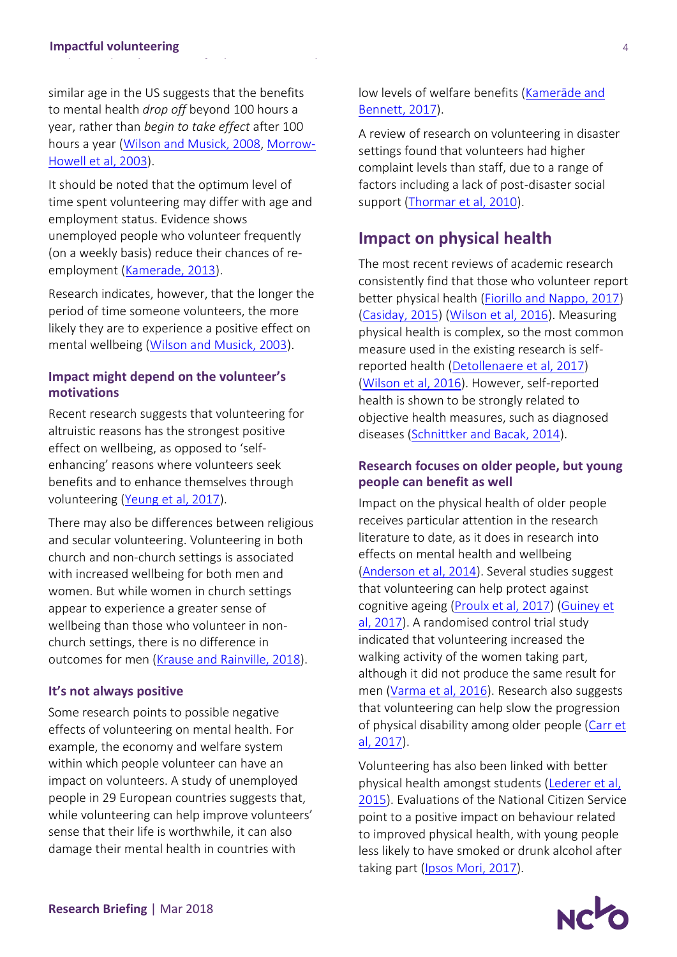similar age in the US suggests that the benefits to mental health *drop off* beyond 100 hours a year, rather than *begin to take effect* after 100 hours a year [\(Wilson and Musick, 2008,](https://books.google.co.uk/books?id=u8Tabf5HcRcC&printsec=frontcover&source=gbs_ge_summary_r&cad=0#v=onepage&q&f=false) [Morrow-](https://academic.oup.com/psychsocgerontology/article/58/3/S137/583366)[Howell et al, 2003\)](https://academic.oup.com/psychsocgerontology/article/58/3/S137/583366).

It should be noted that the optimum level of time spent volunteering may differ with age and employment status. Evidence shows unemployed people who volunteer frequently (on a weekly basis) reduce their chances of reemployment [\(Kamerade, 2013\)](https://blogs.ncvo.org.uk/wp-content/uploads/guest/volunteering_during_unemployment_kamerade.pdf).

Research indicates, however, that the longer the period of time someone volunteers, the more likely they are to experience a positive effect on mental wellbeing [\(Wilson and Musick, 2003\)](https://www.sciencedirect.com/science/article/pii/S0277953602000254).

### **Impact might depend on the volunteer's motivations**

Recent research suggests that volunteering for altruistic reasons has the strongest positive effect on wellbeing, as opposed to 'selfenhancing' reasons where volunteers seek benefits and to enhance themselves through volunteering (Yeung [et al, 2017\)](https://bmcpublichealth.biomedcentral.com/articles/10.1186/s12889-017-4561-8).

There may also be differences between religious and secular volunteering. Volunteering in both church and non-church settings is associated with increased wellbeing for both men and women. But while women in church settings appear to experience a greater sense of wellbeing than those who volunteer in nonchurch settings, there is no difference in outcomes for men [\(Krause and Rainville, 2018\)](https://link.springer.com/article/10.1007/s11089-017-0792-y).

#### **It's not always positive**

Some research points to possible negative effects of volunteering on mental health. For example, the economy and welfare system within which people volunteer can have an impact on volunteers. A study of unemployed people in 29 European countries suggests that, while volunteering can help improve volunteers' sense that their life is worthwhile, it can also damage their mental health in countries with

low levels of welfare benefits (K[amerāde](http://journals.sagepub.com/doi/abs/10.1177/0950017016686030) and [Bennett, 2017\)](http://journals.sagepub.com/doi/abs/10.1177/0950017016686030).

A review of research on volunteering in disaster settings found that volunteers had higher complaint levels than staff, due to a range of factors including a lack of post-disaster social support [\(Thormar et al, 2010\)](https://journals.lww.com/jonmd/Abstract/2010/08000/The_Mental_Health_Impact_of_Volunteering_in_a.1.aspx).

## **Impact on physical health**

The most recent reviews of academic research consistently find that those who volunteer report better physical health [\(Fiorillo and Nappo, 2017\)](http://www.tandfonline.com/doi/abs/10.1080/00346764.2016.1186822) [\(Casiday, 2015\)](https://www.researchgate.net/publication/228628782_Volunteering_and_Health_What_Impact_Does_It_Really_Have) [\(Wilson et al, 2016\)](https://www.springer.com/gb/book/9781137263162?gclid=CjwKCAiA8bnUBRA-EiwAc0hZkw2njPEB9owhjgKkaz16cdV5QRxhWvG_8GX0h09P_vZlyXG_AyWNKxoC66YQAvD_BwE). Measuring physical health is complex, so the most common measure used in the existing research is selfreported health [\(Detollenaere](https://www.researchgate.net/publication/314368541_Volunteering_income_and_health) et al, 2017) [\(Wilson et al, 2016\)](https://www.springer.com/gb/book/9781137263162?gclid=CjwKCAiA8bnUBRA-EiwAc0hZkw2njPEB9owhjgKkaz16cdV5QRxhWvG_8GX0h09P_vZlyXG_AyWNKxoC66YQAvD_BwE). However, self-reported health is shown to be strongly related to objective health measures, such as diagnosed diseases [\(Schnittker and Bacak, 2014\)](http://journals.plos.org/plosone/article?id=10.1371/journal.pone.0084933).

## **Research focuses on older people, but young people can benefit as well**

Impact on the physical health of older people receives particular attention in the research literature to date, as it does in research into effects on mental health and wellbeing [\(Anderson et al, 2014\)](http://psycnet.apa.org/record/2014-35224-001). Several studies suggest that volunteering can help protect against cognitive ageing [\(Proulx et al, 2017\)](https://academic.oup.com/psychsocgerontology/advance-article/doi/10.1093/geronb/gbx110/4079956) (Guiney et [al, 2017\)](https://academic.oup.com/psychsocgerontology/advance-article/doi/10.1093/geronb/gbx134/4638261). A randomised control trial study indicated that volunteering increased the walking activity of the women taking part, although it did not produce the same result for men [\(Varma et al, 2016\)](http://www.sciencedirect.com/science/article/pii/S0749379715003232). Research also suggests that volunteering can help slow the progression of physical disability among older people (Carr et [al, 2017\)](https://academic.oup.com/psychsocgerontology/advance-article-abstract/doi/10.1093/geronb/gbx102/4049587?redirectedFrom=fulltext).

Volunteering has also been linked with better physical health amongst students [\(Lederer et al,](http://www.tandfonline.com/doi/abs/10.1080/07448481.2015.1015028)  [2015\)](http://www.tandfonline.com/doi/abs/10.1080/07448481.2015.1015028). Evaluations of the National Citizen Service point to a positive impact on behaviour related to improved physical health, with young people less likely to have smoked or drunk alcohol after taking part [\(Ipsos Mori, 2017\)](http://www.ncsyes.co.uk/sites/default/files/NCS%202015%20Evaluation%20Report%20FINAL.pdf).

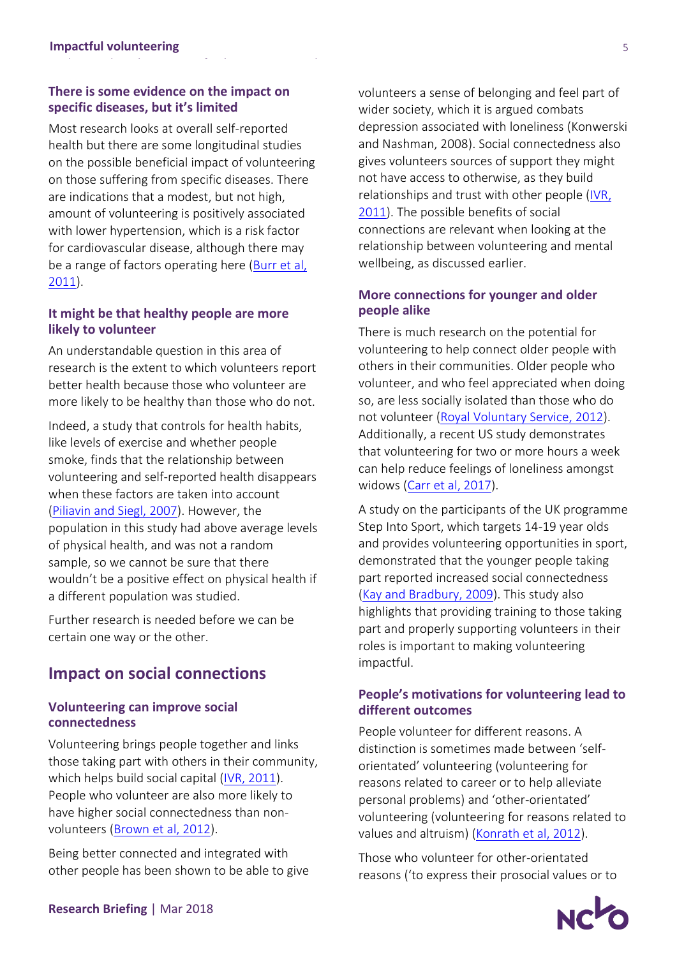## **There is some evidence on the impact on specific diseases, but it's limited**

Most research looks at overall self-reported health but there are some longitudinal studies on the possible beneficial impact of volunteering on those suffering from specific diseases. There are indications that a modest, but not high, amount of volunteering is positively associated with lower hypertension, which is a risk factor for cardiovascular disease, although there may be a range of factors operating here [\(Burr et al,](http://journals.sagepub.com/doi/abs/10.1177/0898264310388272)  [2011\)](http://journals.sagepub.com/doi/abs/10.1177/0898264310388272).

## **It might be that healthy people are more likely to volunteer**

An understandable question in this area of research is the extent to which volunteers report better health because those who volunteer are more likely to be healthy than those who do not.

Indeed, a study that controls for health habits, like levels of exercise and whether people smoke, finds that the relationship between volunteering and self-reported health disappears when these factors are taken into account [\(Piliavin and Siegl, 2007\)](http://journals.sagepub.com/doi/abs/10.1177/002214650704800408). However, the population in this study had above average levels of physical health, and was not a random sample, so we cannot be sure that there wouldn't be a positive effect on physical health if a different population was studied.

Further research is needed before we can be certain one way or the other.

## **Impact on social connections**

#### **Volunteering can improve social connectedness**

Volunteering brings people together and links those taking part with others in their community, which helps build social capital [\(IVR, 2011\)](https://www.scribd.com/document/352350631/Volunteering-and-Health-Literature-Review). People who volunteer are also more likely to have higher social connectedness than nonvolunteers [\(Brown et al, 2012\)](http://www.tandfonline.com/doi/abs/10.1080/01488376.2012.687706).

Being better connected and integrated with other people has been shown to be able to give volunteers a sense of belonging and feel part of wider society, which it is argued combats depression associated with loneliness (Konwerski and Nashman, 2008). Social connectedness also gives volunteers sources of support they might not have access to otherwise, as they build relationships and trust with other people [\(IVR,](https://www.scribd.com/document/352350631/Volunteering-and-Health-Literature-Review)  [2011\)](https://www.scribd.com/document/352350631/Volunteering-and-Health-Literature-Review). The possible benefits of social connections are relevant when looking at the relationship between volunteering and mental wellbeing, as discussed earlier.

## **More connections for younger and older people alike**

There is much research on the potential for volunteering to help connect older people with others in their communities. Older people who volunteer, and who feel appreciated when doing so, are less socially isolated than those who do not volunteer [\(Royal Voluntary Service, 2012\)](https://www.royalvoluntaryservice.org.uk/Uploads/Documents/Reports%20and%20Reviews/the_impact_of_volunteering_on_wellbeing_in_later_life.pdf). Additionally, a recent US study demonstrates that volunteering for two or more hours a week can help reduce feelings of loneliness amongst widows [\(Carr et al, 2017\)](https://academic.oup.com/psychsocgerontology/advance-article-abstract/doi/10.1093/geronb/gbx092/3938841?redirectedFrom=fulltext).

A study on the participants of the UK programme Step Into Sport, which targets 14-19 year olds and provides volunteering opportunities in sport, demonstrated that the younger people taking part reported increased social connectedness [\(Kay and Bradbury, 2009\)](http://www.tandfonline.com/doi/full/10.1080/13573320802615288?scroll=top&needAccess=true). This study also highlights that providing training to those taking part and properly supporting volunteers in their roles is important to making volunteering impactful.

## **People's motivations for volunteering lead to different outcomes**

People volunteer for different reasons. A distinction is sometimes made between 'selforientated' volunteering (volunteering for reasons related to career or to help alleviate personal problems) and 'other-orientated' volunteering (volunteering for reasons related to values and altruism) [\(Konrath et al, 2012\)](http://psycnet.apa.org/record/2011-17888-001).

Those who volunteer for other-orientated reasons ('to express their prosocial values or to

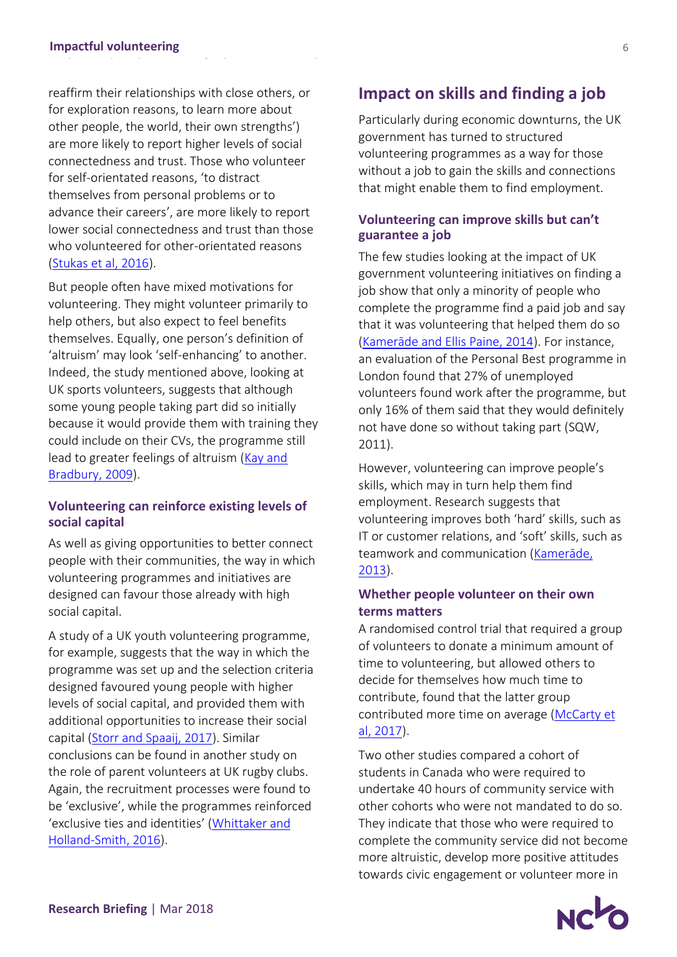reaffirm their relationships with close others, or for exploration reasons, to learn more about other people, the world, their own strengths') are more likely to report higher levels of social connectedness and trust. Those who volunteer for self-orientated reasons, 'to distract themselves from personal problems or to advance their careers', are more likely to report lower social connectedness and trust than those who volunteered for other-orientated reasons [\(Stukas et al, 2016\)](http://journals.sagepub.com/doi/full/10.1177/0899764014561122).

But people often have mixed motivations for volunteering. They might volunteer primarily to help others, but also expect to feel benefits themselves. Equally, one person's definition of 'altruism' may look 'self-enhancing' to another. Indeed, the study mentioned above, looking at UK sports volunteers, suggests that although some young people taking part did so initially because it would provide them with training they could include on their CVs, the programme still lead to greater feelings of altruism [\(Kay and](http://www.tandfonline.com/doi/full/10.1080/13573320802615288?scroll=top&needAccess=true)  [Bradbury, 2009\)](http://www.tandfonline.com/doi/full/10.1080/13573320802615288?scroll=top&needAccess=true).

#### **Volunteering can reinforce existing levels of social capital**

As well as giving opportunities to better connect people with their communities, the way in which volunteering programmes and initiatives are designed can favour those already with high social capital.

A study of a UK youth volunteering programme, for example, suggests that the way in which the programme was set up and the selection criteria designed favoured young people with higher levels of social capital, and provided them with additional opportunities to increase their social capital [\(Storr and Spaaij, 2017\)](http://www.tandfonline.com/doi/abs/10.1080/13676261.2016.1241867). Similar conclusions can be found in another study on the role of parent volunteers at UK rugby clubs. Again, the recruitment processes were found to be 'exclusive', while the programmes reinforced 'exclusive ties and identities' ([Whittaker and](http://www.tandfonline.com/doi/abs/10.1080/13573322.2014.923832?src=recsys&journalCode=cses20)  [Holland-Smith, 2016\)](http://www.tandfonline.com/doi/abs/10.1080/13573322.2014.923832?src=recsys&journalCode=cses20).

## **Impact on skills and finding a job**

Particularly during economic downturns, the UK government has turned to structured volunteering programmes as a way for those without a job to gain the skills and connections that might enable them to find employment.

## **Volunteering can improve skills but can't guarantee a job**

The few studies looking at the impact of UK government volunteering initiatives on finding a job show that only a minority of people who complete the programme find a paid job and say that it was volunteering that helped them do so (Kamerāde [and Ellis Paine, 2014\)](http://www.ingentaconnect.com/content/tpp/vsr/2014/00000005/00000002/art00008). For instance, an evaluation of the Personal Best programme in London found that 27% of unemployed volunteers found work after the programme, but only 16% of them said that they would definitely not have done so without taking part (SQW, 2011).

However, volunteering can improve people's skills, which may in turn help them find employment. Research suggests that volunteering improves both 'hard' skills, such as IT or customer relations, and 'soft' skills, such as teamwork and communication ([Kamerāde](https://blogs.ncvo.org.uk/wp-content/uploads/guest/volunteering_during_unemployment_kamerade.pdf), [2013\)](https://blogs.ncvo.org.uk/wp-content/uploads/guest/volunteering_during_unemployment_kamerade.pdf).

## **Whether people volunteer on their own terms matters**

A randomised control trial that required a group of volunteers to donate a minimum amount of time to volunteering, but allowed others to decide for themselves how much time to contribute, found that the latter group contributed more time on average [\(McCarty](http://www.tandfonline.com/doi/abs/10.1080/00036846.2017.1414931) et [al, 2017\)](http://www.tandfonline.com/doi/abs/10.1080/00036846.2017.1414931).

Two other studies compared a cohort of students in Canada who were required to undertake 40 hours of community service with other cohorts who were not mandated to do so. They indicate that those who were required to complete the community service did not become more altruistic, develop more positive attitudes towards civic engagement or volunteer more in

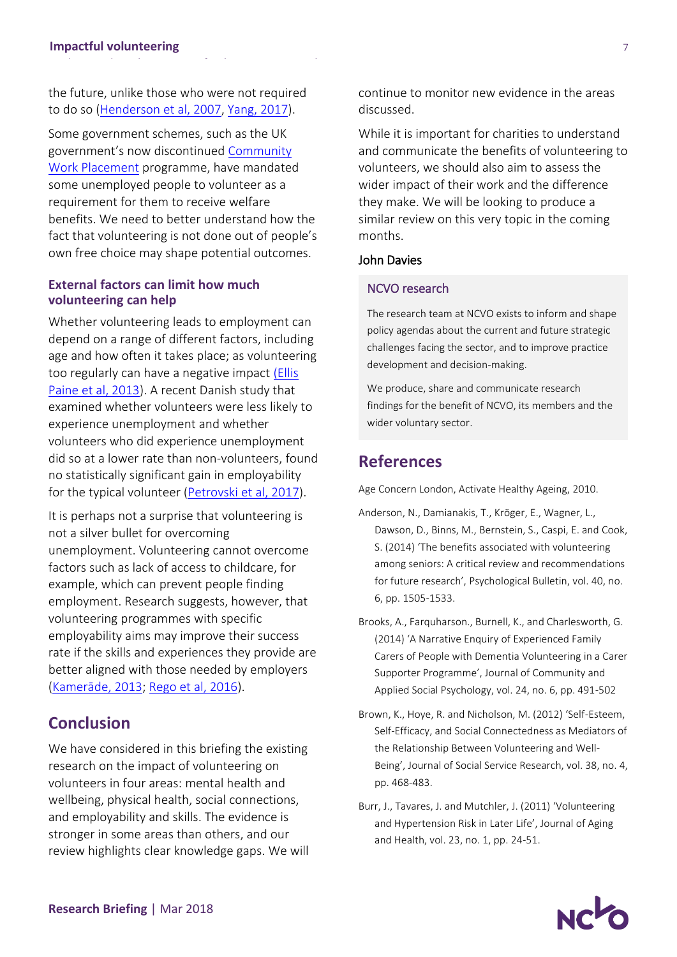the future, unlike those who were not required to do so [\(Henderson et al, 2007,](https://link.springer.com/article/10.1007/s10964-007-9207-1) [Yang, 2017\)](http://www.tandfonline.com/doi/abs/10.1080/09645292.2016.1182622).

Some government schemes, such as the UK government's now discontinued [Community](https://www.gov.uk/government/publications/community-work-placements)  [Work Placement](https://www.gov.uk/government/publications/community-work-placements) programme, have mandated some unemployed people to volunteer as a requirement for them to receive welfare benefits. We need to better understand how the fact that volunteering is not done out of people's own free choice may shape potential outcomes.

## **External factors can limit how much volunteering can help**

Whether volunteering leads to employment can depend on a range of different factors, including age and how often it takes place; as volunteering too regularly can have a negative impact [\(Ellis](https://www.birmingham.ac.uk/generic/tsrc/documents/tsrc/working-papers/working-paper-100.pdf)  [Paine et al, 2013\)](https://www.birmingham.ac.uk/generic/tsrc/documents/tsrc/working-papers/working-paper-100.pdf). A recent Danish study that examined whether volunteers were less likely to experience unemployment and whether volunteers who did experience unemployment did so at a lower rate than non-volunteers, found no statistically significant gain in employability for the typical volunteer [\(Petrovski](https://academic.oup.com/esr/article-abstract/33/3/349/3858046) et al, 2017).

It is perhaps not a surprise that volunteering is not a silver bullet for overcoming unemployment. Volunteering cannot overcome factors such as lack of access to childcare, for example, which can prevent people finding employment. Research suggests, however, that volunteering programmes with specific employability aims may improve their success rate if the skills and experiences they provide are better aligned with those needed by employers ([Kamerāde](https://blogs.ncvo.org.uk/wp-content/uploads/guest/volunteering_during_unemployment_kamerade.pdf), 2013; Rego [et al, 2016\)](http://www.ingentaconnect.com/content/tpp/vsr/2016/00000007/00000001/art00006).

## **Conclusion**

We have considered in this briefing the existing research on the impact of volunteering on volunteers in four areas: mental health and wellbeing, physical health, social connections, and employability and skills. The evidence is stronger in some areas than others, and our review highlights clear knowledge gaps. We will continue to monitor new evidence in the areas discussed.

While it is important for charities to understand and communicate the benefits of volunteering to volunteers, we should also aim to assess the wider impact of their work and the difference they make. We will be looking to produce a similar review on this very topic in the coming months.

#### John Davies

#### NCVO research

The research team at NCVO exists to inform and shape policy agendas about the current and future strategic challenges facing the sector, and to improve practice development and decision-making.

We produce, share and communicate research findings for the benefit of NCVO, its members and the wider voluntary sector.

## **References**

Age Concern London, Activate Healthy Ageing, 2010.

- Anderson, N., Damianakis, T., Kröger, E., Wagner, L., Dawson, D., Binns, M., Bernstein, S., Caspi, E. and Cook, S. (2014) 'The benefits associated with volunteering among seniors: A critical review and recommendations for future research', Psychological Bulletin, vol. 40, no. 6, pp. 1505-1533.
- Brooks, A., Farquharson., Burnell, K., and Charlesworth, G. (2014) 'A Narrative Enquiry of Experienced Family Carers of People with Dementia Volunteering in a Carer Supporter Programme', Journal of Community and Applied Social Psychology, vol. 24, no. 6, pp. 491-502
- Brown, K., Hoye, R. and Nicholson, M. (2012) 'Self-Esteem, Self-Efficacy, and Social Connectedness as Mediators of the Relationship Between Volunteering and Well-Being', Journal of Social Service Research, vol. 38, no. 4, pp. 468-483.
- Burr, J., Tavares, J. and Mutchler, J. (2011) 'Volunteering and Hypertension Risk in Later Life', Journal of Aging and Health, vol. 23, no. 1, pp. 24-51.

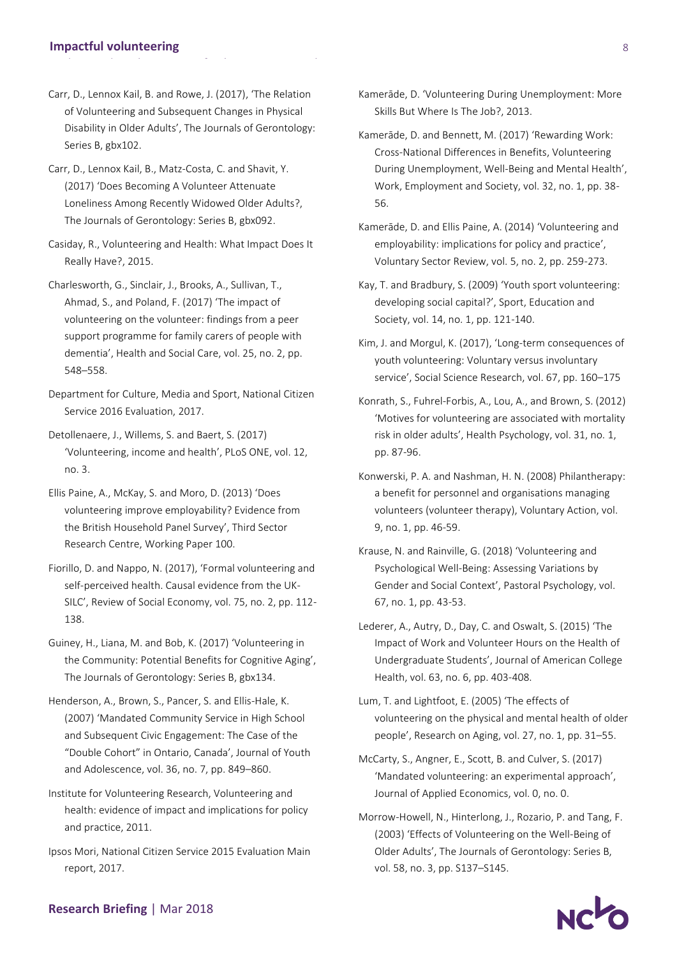#### **Impactful volunteering**

- Carr, D., Lennox Kail, B. and Rowe, J. (2017), 'The Relation of Volunteering and Subsequent Changes in Physical Disability in Older Adults', The Journals of Gerontology: Series B, gbx102.
- Carr, D., Lennox Kail, B., Matz-Costa, C. and Shavit, Y. (2017) 'Does Becoming A Volunteer Attenuate Loneliness Among Recently Widowed Older Adults?, The Journals of Gerontology: Series B, gbx092.
- Casiday, R., Volunteering and Health: What Impact Does It Really Have?, 2015.
- Charlesworth, G., Sinclair, J., Brooks, A., Sullivan, T., Ahmad, S., and Poland, F. (2017) 'The impact of volunteering on the volunteer: findings from a peer support programme for family carers of people with dementia', Health and Social Care, vol. 25, no. 2, pp. 548–558.
- Department for Culture, Media and Sport, National Citizen Service 2016 Evaluation, 2017.
- Detollenaere, J., Willems, S. and Baert, S. (2017) 'Volunteering, income and health', PLoS ONE, vol. 12, no. 3.
- Ellis Paine, A., McKay, S. and Moro, D. (2013) 'Does volunteering improve employability? Evidence from the British Household Panel Survey', Third Sector Research Centre, Working Paper 100.
- Fiorillo, D. and Nappo, N. (2017), 'Formal volunteering and self-perceived health. Causal evidence from the UK-SILC', Review of Social Economy, vol. 75, no. 2, pp. 112- 138.
- Guiney, H., Liana, M. and Bob, K. (2017) 'Volunteering in the Community: Potential Benefits for Cognitive Aging', The Journals of Gerontology: Series B, gbx134.
- Henderson, A., Brown, S., Pancer, S. and Ellis-Hale, K. (2007) 'Mandated Community Service in High School and Subsequent Civic Engagement: The Case of the "Double Cohort" in Ontario, Canada', Journal of Youth and Adolescence, vol. 36, no. 7, pp. 849–860.
- Institute for Volunteering Research, Volunteering and health: evidence of impact and implications for policy and practice, 2011.
- Ipsos Mori, National Citizen Service 2015 Evaluation Main report, 2017.
- Kamerāde, D. 'Volunteering During Unemployment: More Skills But Where Is The Job?, 2013.
- Kamerāde, D. and Bennett, M. (2017) 'Rewarding Work: Cross-National Differences in Benefits, Volunteering During Unemployment, Well-Being and Mental Health', Work, Employment and Society, vol. 32, no. 1, pp. 38- 56.
- Kamerāde, D. and Ellis Paine, A. (2014) 'Volunteering and employability: implications for policy and practice', Voluntary Sector Review, vol. 5, no. 2, pp. 259-273.
- Kay, T. and Bradbury, S. (2009) 'Youth sport volunteering: developing social capital?', Sport, Education and Society, vol. 14, no. 1, pp. 121-140.
- Kim, J. and Morgul, K. (2017), 'Long-term consequences of youth volunteering: Voluntary versus involuntary service', Social Science Research, vol. 67, pp. 160–175
- Konrath, S., Fuhrel-Forbis, A., Lou, A., and Brown, S. (2012) 'Motives for volunteering are associated with mortality risk in older adults', Health Psychology, vol. 31, no. 1, pp. 87-96.
- Konwerski, P. A. and Nashman, H. N. (2008) Philantherapy: a benefit for personnel and organisations managing volunteers (volunteer therapy), Voluntary Action, vol. 9, no. 1, pp. 46-59.
- Krause, N. and Rainville, G. (2018) 'Volunteering and Psychological Well-Being: Assessing Variations by Gender and Social Context', Pastoral Psychology, vol. 67, no. 1, pp. 43-53.
- Lederer, A., Autry, D., Day, C. and Oswalt, S. (2015) 'The Impact of Work and Volunteer Hours on the Health of Undergraduate Students', Journal of American College Health, vol. 63, no. 6, pp. 403-408.
- Lum, T. and Lightfoot, E. (2005) 'The effects of volunteering on the physical and mental health of older people', Research on Aging, vol. 27, no. 1, pp. 31–55.
- McCarty, S., Angner, E., Scott, B. and Culver, S. (2017) 'Mandated volunteering: an experimental approach', Journal of Applied Economics, vol. 0, no. 0.
- Morrow-Howell, N., Hinterlong, J., Rozario, P. and Tang, F. (2003) 'Effects of Volunteering on the Well-Being of Older Adults', The Journals of Gerontology: Series B, vol. 58, no. 3, pp. S137–S145.



#### **Research Briefing** | Mar 2018